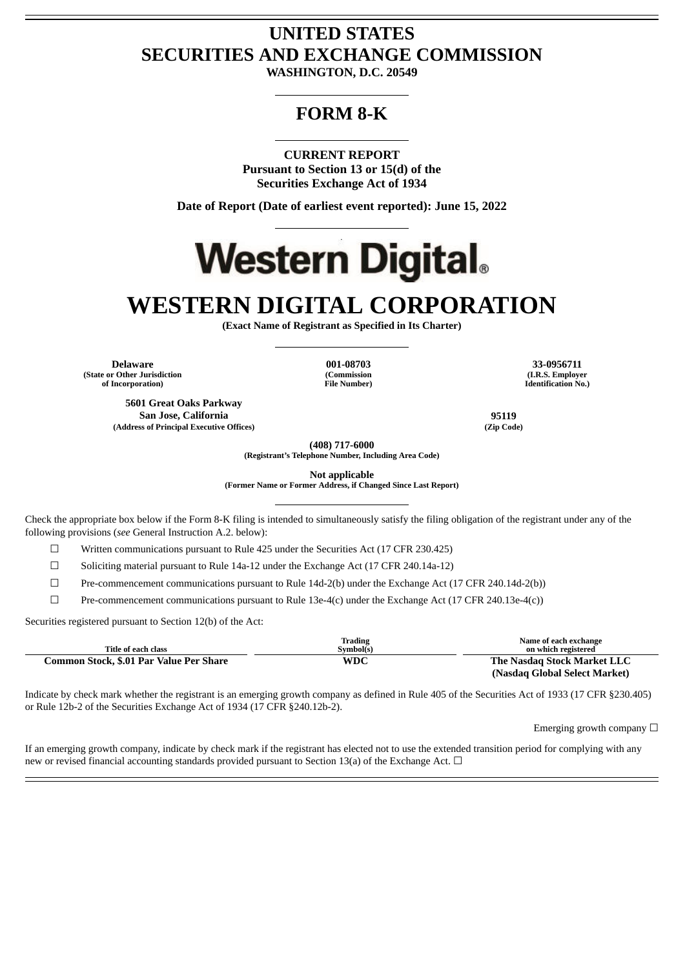## **UNITED STATES SECURITIES AND EXCHANGE COMMISSION**

**WASHINGTON, D.C. 20549**

### **FORM 8-K**

**CURRENT REPORT Pursuant to Section 13 or 15(d) of the Securities Exchange Act of 1934**

**Date of Report (Date of earliest event reported): June 15, 2022**

# **Western Digital.**

## **WESTERN DIGITAL CORPORATION**

**(Exact Name of Registrant as Specified in Its Charter)**

**Delaware 001-08703 33-0956711 (State or Other Jurisdiction of Incorporation)**

**5601 Great Oaks Parkway San Jose, California 95119 (Address of Principal Executive Offices) (Zip Code)**

**(Commission File Number)**

**(I.R.S. Employer Identification No.)**

**(408) 717-6000**

**(Registrant's Telephone Number, Including Area Code)**

**Not applicable (Former Name or Former Address, if Changed Since Last Report)**

Check the appropriate box below if the Form 8-K filing is intended to simultaneously satisfy the filing obligation of the registrant under any of the following provisions (*see* General Instruction A.2. below):

 $\Box$  Written communications pursuant to Rule 425 under the Securities Act (17 CFR 230.425)

 $\Box$  Soliciting material pursuant to Rule 14a-12 under the Exchange Act (17 CFR 240.14a-12)

☐ Pre-commencement communications pursuant to Rule 14d-2(b) under the Exchange Act (17 CFR 240.14d-2(b))

 $\Box$  Pre-commencement communications pursuant to Rule 13e-4(c) under the Exchange Act (17 CFR 240.13e-4(c))

Securities registered pursuant to Section 12(b) of the Act:

| Title of each class                     | <b>Trading</b><br>Symbol(s) | Name of each exchange<br>on which registered |
|-----------------------------------------|-----------------------------|----------------------------------------------|
| Common Stock, \$.01 Par Value Per Share | WDC                         | The Nasdag Stock Market LLC                  |
|                                         |                             | (Nasdaq Global Select Market)                |

Indicate by check mark whether the registrant is an emerging growth company as defined in Rule 405 of the Securities Act of 1933 (17 CFR §230.405) or Rule 12b-2 of the Securities Exchange Act of 1934 (17 CFR §240.12b-2).

Emerging growth company  $\Box$ 

If an emerging growth company, indicate by check mark if the registrant has elected not to use the extended transition period for complying with any new or revised financial accounting standards provided pursuant to Section 13(a) of the Exchange Act. □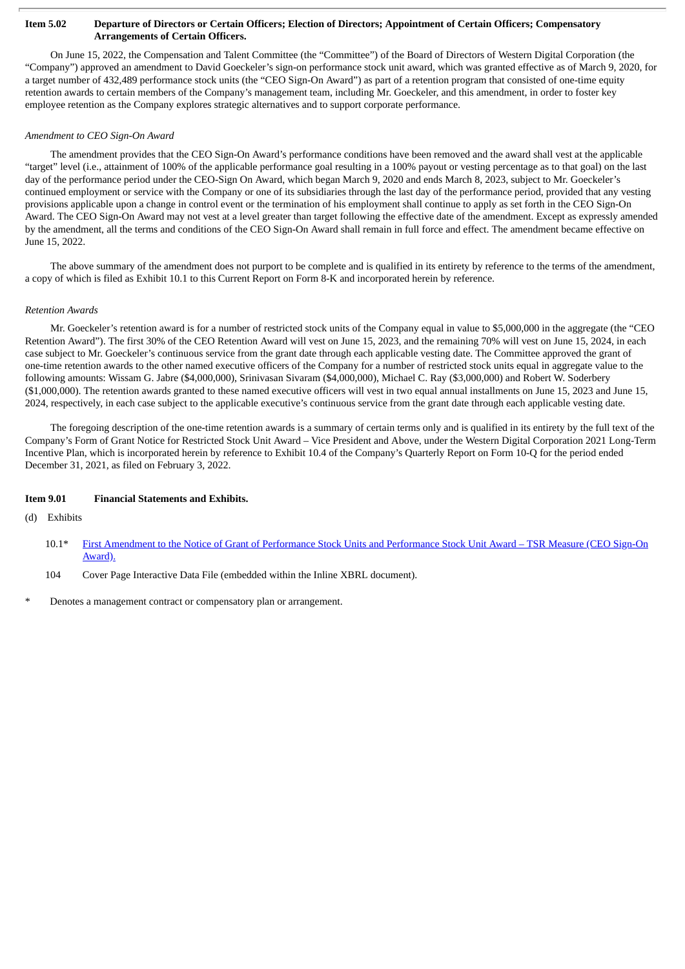#### Item 5.02 Departure of Directors or Certain Officers; Election of Directors; Appointment of Certain Officers; Compensatory **Arrangements of Certain Officers.**

On June 15, 2022, the Compensation and Talent Committee (the "Committee") of the Board of Directors of Western Digital Corporation (the "Company") approved an amendment to David Goeckeler's sign-on performance stock unit award, which was granted effective as of March 9, 2020, for a target number of 432,489 performance stock units (the "CEO Sign-On Award") as part of a retention program that consisted of one-time equity retention awards to certain members of the Company's management team, including Mr. Goeckeler, and this amendment, in order to foster key employee retention as the Company explores strategic alternatives and to support corporate performance.

#### *Amendment to CEO Sign-On Award*

The amendment provides that the CEO Sign-On Award's performance conditions have been removed and the award shall vest at the applicable "target" level (i.e., attainment of 100% of the applicable performance goal resulting in a 100% payout or vesting percentage as to that goal) on the last day of the performance period under the CEO-Sign On Award, which began March 9, 2020 and ends March 8, 2023, subject to Mr. Goeckeler's continued employment or service with the Company or one of its subsidiaries through the last day of the performance period, provided that any vesting provisions applicable upon a change in control event or the termination of his employment shall continue to apply as set forth in the CEO Sign-On Award. The CEO Sign-On Award may not vest at a level greater than target following the effective date of the amendment. Except as expressly amended by the amendment, all the terms and conditions of the CEO Sign-On Award shall remain in full force and effect. The amendment became effective on June 15, 2022.

The above summary of the amendment does not purport to be complete and is qualified in its entirety by reference to the terms of the amendment, a copy of which is filed as Exhibit 10.1 to this Current Report on Form 8-K and incorporated herein by reference.

#### *Retention Awards*

Mr. Goeckeler's retention award is for a number of restricted stock units of the Company equal in value to \$5,000,000 in the aggregate (the "CEO Retention Award"). The first 30% of the CEO Retention Award will vest on June 15, 2023, and the remaining 70% will vest on June 15, 2024, in each case subject to Mr. Goeckeler's continuous service from the grant date through each applicable vesting date. The Committee approved the grant of one-time retention awards to the other named executive officers of the Company for a number of restricted stock units equal in aggregate value to the following amounts: Wissam G. Jabre (\$4,000,000), Srinivasan Sivaram (\$4,000,000), Michael C. Ray (\$3,000,000) and Robert W. Soderbery (\$1,000,000). The retention awards granted to these named executive officers will vest in two equal annual installments on June 15, 2023 and June 15, 2024, respectively, in each case subject to the applicable executive's continuous service from the grant date through each applicable vesting date.

The foregoing description of the one-time retention awards is a summary of certain terms only and is qualified in its entirety by the full text of the Company's Form of Grant Notice for Restricted Stock Unit Award – Vice President and Above, under the Western Digital Corporation 2021 Long-Term Incentive Plan, which is incorporated herein by reference to Exhibit 10.4 of the Company's Quarterly Report on Form 10-Q for the period ended December 31, 2021, as filed on February 3, 2022.

#### **Item 9.01 Financial Statements and Exhibits.**

(d) Exhibits

- 10.1\* First Amendment to the Notice of Grant of [Performance](#page-3-0) Stock Units and Performance Stock Unit Award TSR Measure (CEO Sign-On Award).
- 104 Cover Page Interactive Data File (embedded within the Inline XBRL document).
- Denotes a management contract or compensatory plan or arrangement.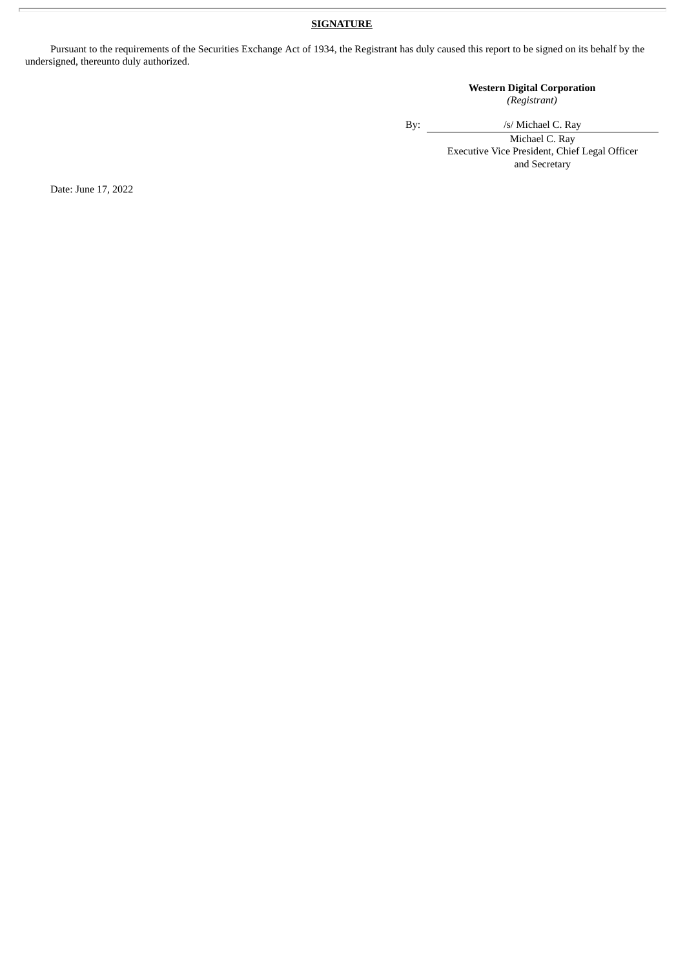#### **SIGNATURE**

Pursuant to the requirements of the Securities Exchange Act of 1934, the Registrant has duly caused this report to be signed on its behalf by the undersigned, thereunto duly authorized.

#### **Western Digital Corporation** *(Registrant)*

By:  $\frac{1}{s}$  /s/ Michael C. Ray

Michael C. Ray Executive Vice President, Chief Legal Officer and Secretary

Date: June 17, 2022